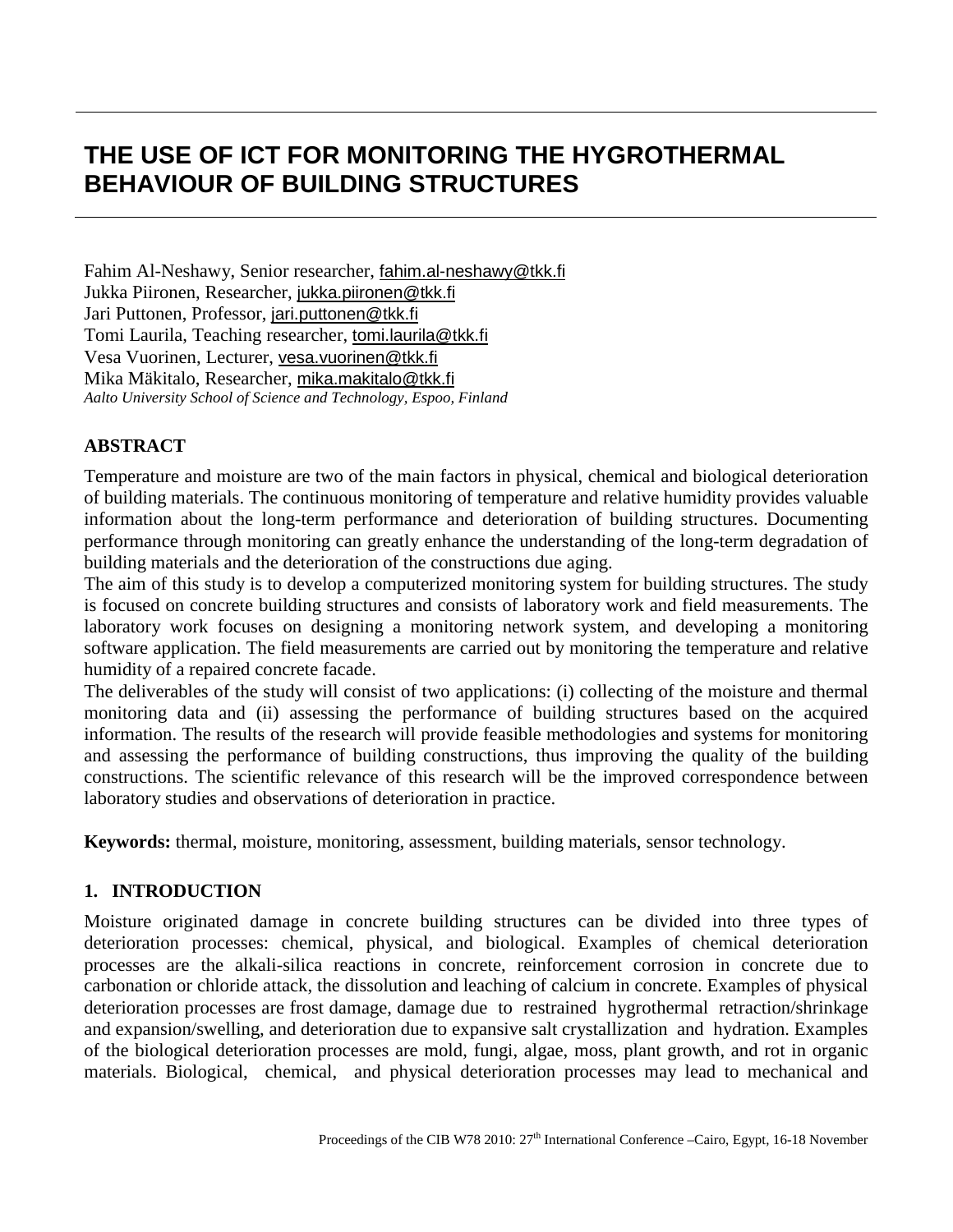# **THE USE OF ICT FOR MONITORING THE HYGROTHERMAL BEHAVIOUR OF BUILDING STRUCTURES**

Fahim Al-Neshawy, Senior researcher, [fahim.al-neshawy@tkk.fi](mailto:fahim.al-neshawy@tkk.fi) Jukka Piironen, Researcher, [jukka.piironen@tkk.fi](mailto:jukka.piironen@tkk.fi) Jari Puttonen, Professor, [jari.puttonen@tkk.fi](mailto:jari.puttonen@tkk.fi) Tomi Laurila, Teaching researcher, [tomi.laurila@tkk.fi](mailto:tomi.laurila@tkk.fi) Vesa Vuorinen, Lecturer, [vesa.vuorinen@tkk.fi](mailto:vesa.vuorinen@tkk.fi) Mika Mäkitalo, Researcher, [mika.makitalo@tkk.fi](mailto:mika.makitalo@tkk.fi) *Aalto University School of Science and Technology, Espoo, Finland*

# **ABSTRACT**

Temperature and moisture are two of the main factors in physical, chemical and biological deterioration of building materials. The continuous monitoring of temperature and relative humidity provides valuable information about the long-term performance and deterioration of building structures. Documenting performance through monitoring can greatly enhance the understanding of the long-term degradation of building materials and the deterioration of the constructions due aging.

The aim of this study is to develop a computerized monitoring system for building structures. The study is focused on concrete building structures and consists of laboratory work and field measurements. The laboratory work focuses on designing a monitoring network system, and developing a monitoring software application. The field measurements are carried out by monitoring the temperature and relative humidity of a repaired concrete facade.

The deliverables of the study will consist of two applications: (i) collecting of the moisture and thermal monitoring data and (ii) assessing the performance of building structures based on the acquired information. The results of the research will provide feasible methodologies and systems for monitoring and assessing the performance of building constructions, thus improving the quality of the building constructions. The scientific relevance of this research will be the improved correspondence between laboratory studies and observations of deterioration in practice.

**Keywords:** thermal, moisture, monitoring, assessment, building materials, sensor technology.

# **1. INTRODUCTION**

Moisture originated damage in concrete building structures can be divided into three types of deterioration processes: chemical, physical, and biological. Examples of chemical deterioration processes are the alkali-silica reactions in concrete, reinforcement corrosion in concrete due to carbonation or chloride attack, the dissolution and leaching of calcium in concrete. Examples of physical deterioration processes are frost damage, damage due to restrained hygrothermal retraction/shrinkage and expansion/swelling, and deterioration due to expansive salt crystallization and hydration. Examples of the biological deterioration processes are mold, fungi, algae, moss, plant growth, and rot in organic materials. Biological, chemical, and physical deterioration processes may lead to mechanical and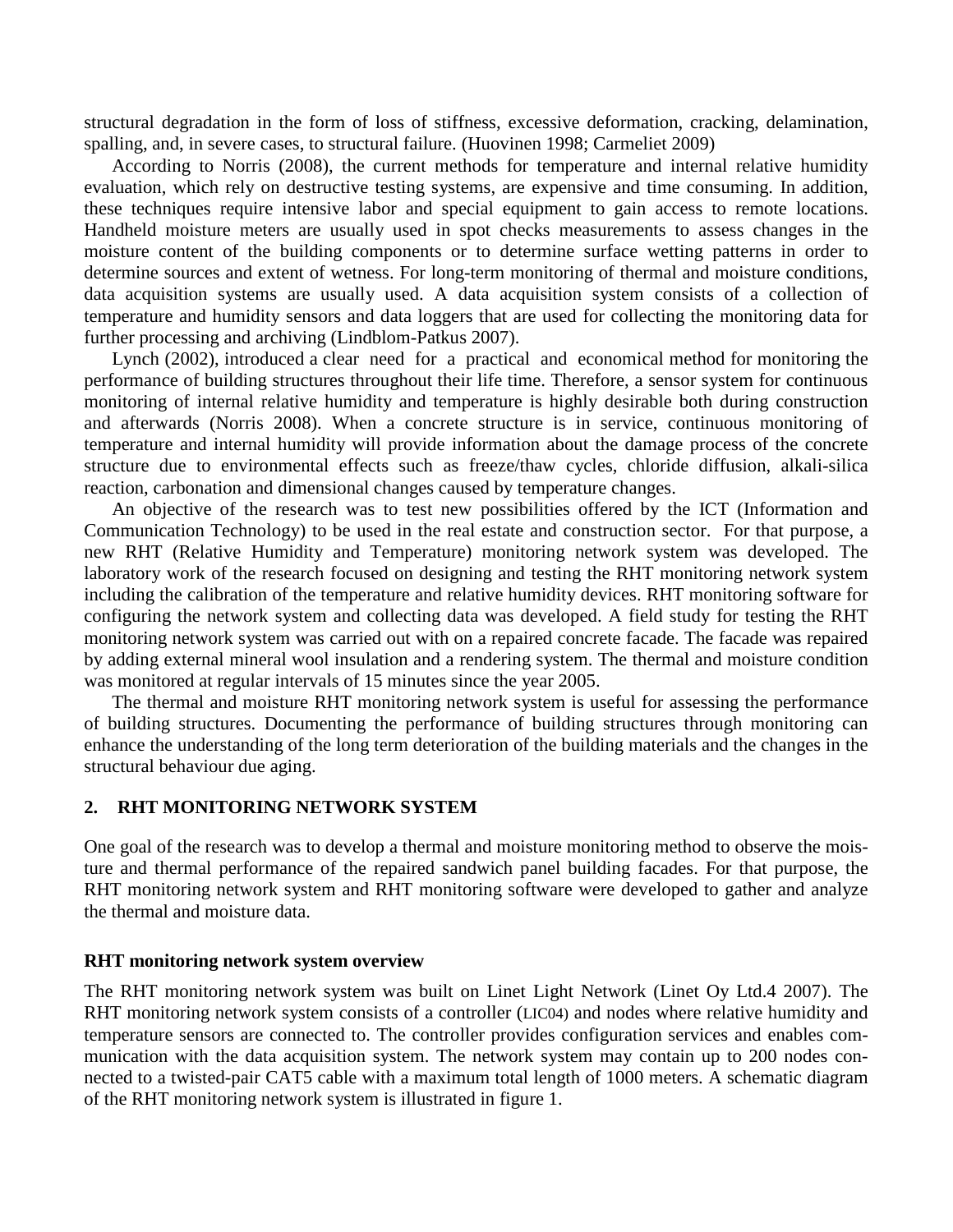structural degradation in the form of loss of stiffness, excessive deformation, cracking, delamination, spalling, and, in severe cases, to structural failure. (Huovinen 1998; Carmeliet 2009)

According to Norris (2008), the current methods for temperature and internal relative humidity evaluation, which rely on destructive testing systems, are expensive and time consuming. In addition, these techniques require intensive labor and special equipment to gain access to remote locations. Handheld moisture meters are usually used in spot checks measurements to assess changes in the moisture content of the building components or to determine surface wetting patterns in order to determine sources and extent of wetness. For long-term monitoring of thermal and moisture conditions, data acquisition systems are usually used. A data acquisition system consists of a collection of temperature and humidity sensors and data loggers that are used for collecting the monitoring data for further processing and archiving (Lindblom-Patkus 2007).

Lynch (2002), introduced a clear need for a practical and economical method for monitoring the performance of building structures throughout their life time. Therefore, a sensor system for continuous monitoring of internal relative humidity and temperature is highly desirable both during construction and afterwards (Norris 2008). When a concrete structure is in service, continuous monitoring of temperature and internal humidity will provide information about the damage process of the concrete structure due to environmental effects such as freeze/thaw cycles, chloride diffusion, alkali-silica reaction, carbonation and dimensional changes caused by temperature changes.

An objective of the research was to test new possibilities offered by the ICT (Information and Communication Technology) to be used in the real estate and construction sector. For that purpose, a new RHT (Relative Humidity and Temperature) monitoring network system was developed. The laboratory work of the research focused on designing and testing the RHT monitoring network system including the calibration of the temperature and relative humidity devices. RHT monitoring software for configuring the network system and collecting data was developed. A field study for testing the RHT monitoring network system was carried out with on a repaired concrete facade. The facade was repaired by adding external mineral wool insulation and a rendering system. The thermal and moisture condition was monitored at regular intervals of 15 minutes since the year 2005.

The thermal and moisture RHT monitoring network system is useful for assessing the performance of building structures. Documenting the performance of building structures through monitoring can enhance the understanding of the long term deterioration of the building materials and the changes in the structural behaviour due aging.

## **2. RHT MONITORING NETWORK SYSTEM**

One goal of the research was to develop a thermal and moisture monitoring method to observe the moisture and thermal performance of the repaired sandwich panel building facades. For that purpose, the RHT monitoring network system and RHT monitoring software were developed to gather and analyze the thermal and moisture data.

#### **RHT monitoring network system overview**

The RHT monitoring network system was built on Linet Light Network (Linet Oy Ltd.4 2007). The RHT monitoring network system consists of a controller (LIC04) and nodes where relative humidity and temperature sensors are connected to. The controller provides configuration services and enables communication with the data acquisition system. The network system may contain up to 200 nodes connected to a twisted-pair CAT5 cable with a maximum total length of 1000 meters. A schematic diagram of the RHT monitoring network system is illustrated in figure 1.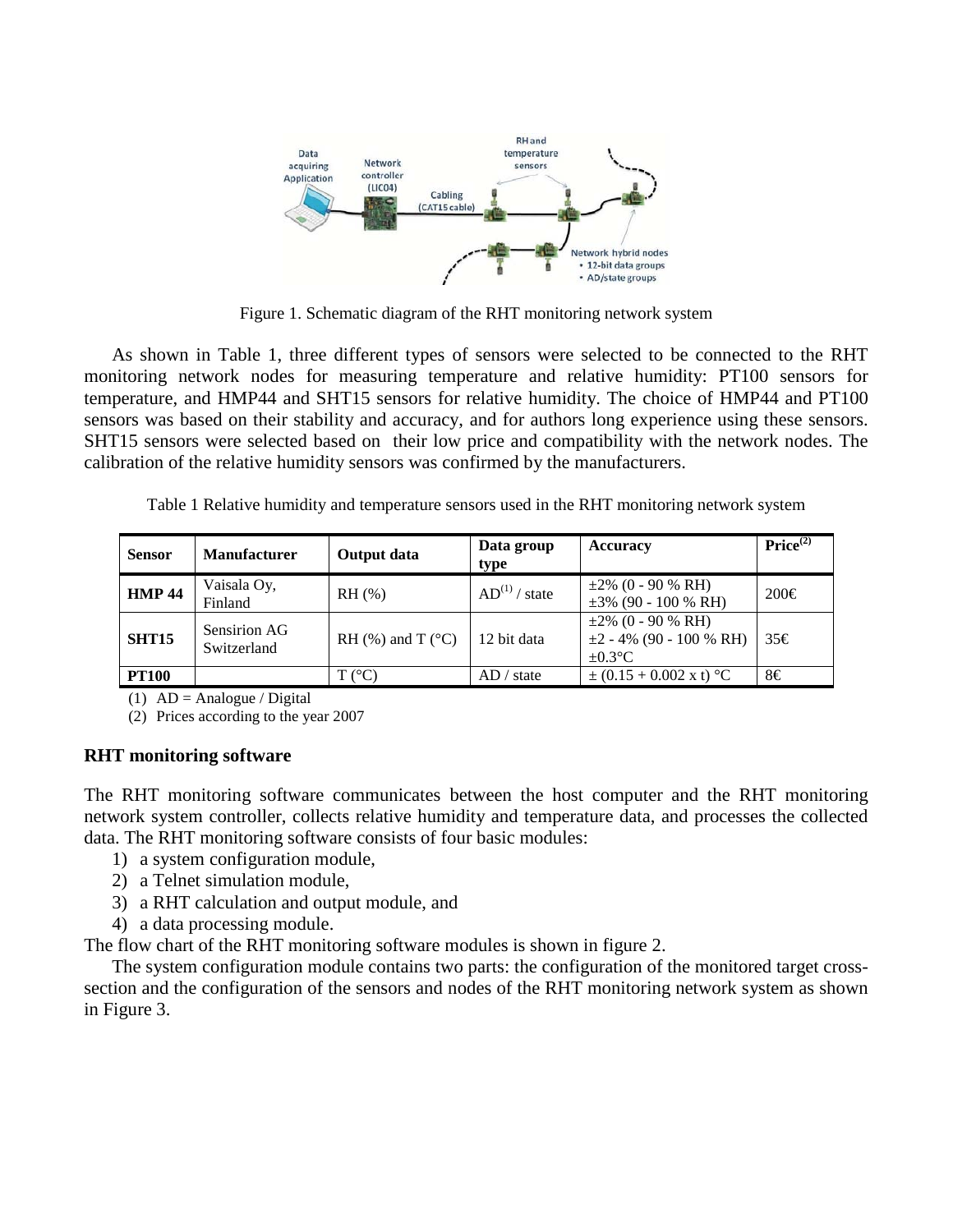

Figure 1. Schematic diagram of the RHT monitoring network system

As shown in Table 1, three different types of sensors were selected to be connected to the RHT monitoring network nodes for measuring temperature and relative humidity: PT100 sensors for temperature, and HMP44 and SHT15 sensors for relative humidity. The choice of HMP44 and PT100 sensors was based on their stability and accuracy, and for authors long experience using these sensors. SHT15 sensors were selected based on their low price and compatibility with the network nodes. The calibration of the relative humidity sensors was confirmed by the manufacturers.

Table 1 Relative humidity and temperature sensors used in the RHT monitoring network system

| <b>Sensor</b> | <b>Manufacturer</b>         | Output data                   | Data group<br>type            | Accuracy                                                                 | Price <sup>(2)</sup> |
|---------------|-----------------------------|-------------------------------|-------------------------------|--------------------------------------------------------------------------|----------------------|
| <b>HMP 44</b> | Vaisala Oy,<br>Finland      | $RH$ $(\% )$                  | $AD^{(1)}/$<br>$\prime$ state | $\pm 2\%$ (0 - 90 % RH)<br>$\pm 3\%$ (90 - 100 % RH)                     | $200 \in$            |
| <b>SHT15</b>  | Sensirion AG<br>Switzerland | RH $(\%)$ and T $(^{\circ}C)$ | 12 bit data                   | $\pm 2\%$ (0 - 90 % RH)<br>$\pm 2 - 4\%$ (90 - 100 % RH)<br>$\pm 0.3$ °C | 35€                  |
| <b>PT100</b>  |                             | T (°C)                        | AD / state                    | $\pm (0.15 + 0.002 \text{ x t})$ °C                                      | 8€                   |

(1)  $AD = Analogue / Digital$ 

(2) Prices according to the year 2007

# **RHT monitoring software**

The RHT monitoring software communicates between the host computer and the RHT monitoring network system controller, collects relative humidity and temperature data, and processes the collected data. The RHT monitoring software consists of four basic modules:

- 1) a system configuration module,
- 2) a Telnet simulation module,
- 3) a RHT calculation and output module, and
- 4) a data processing module.

The flow chart of the RHT monitoring software modules is shown in figure 2.

The system configuration module contains two parts: the configuration of the monitored target crosssection and the configuration of the sensors and nodes of the RHT monitoring network system as shown in Figure 3.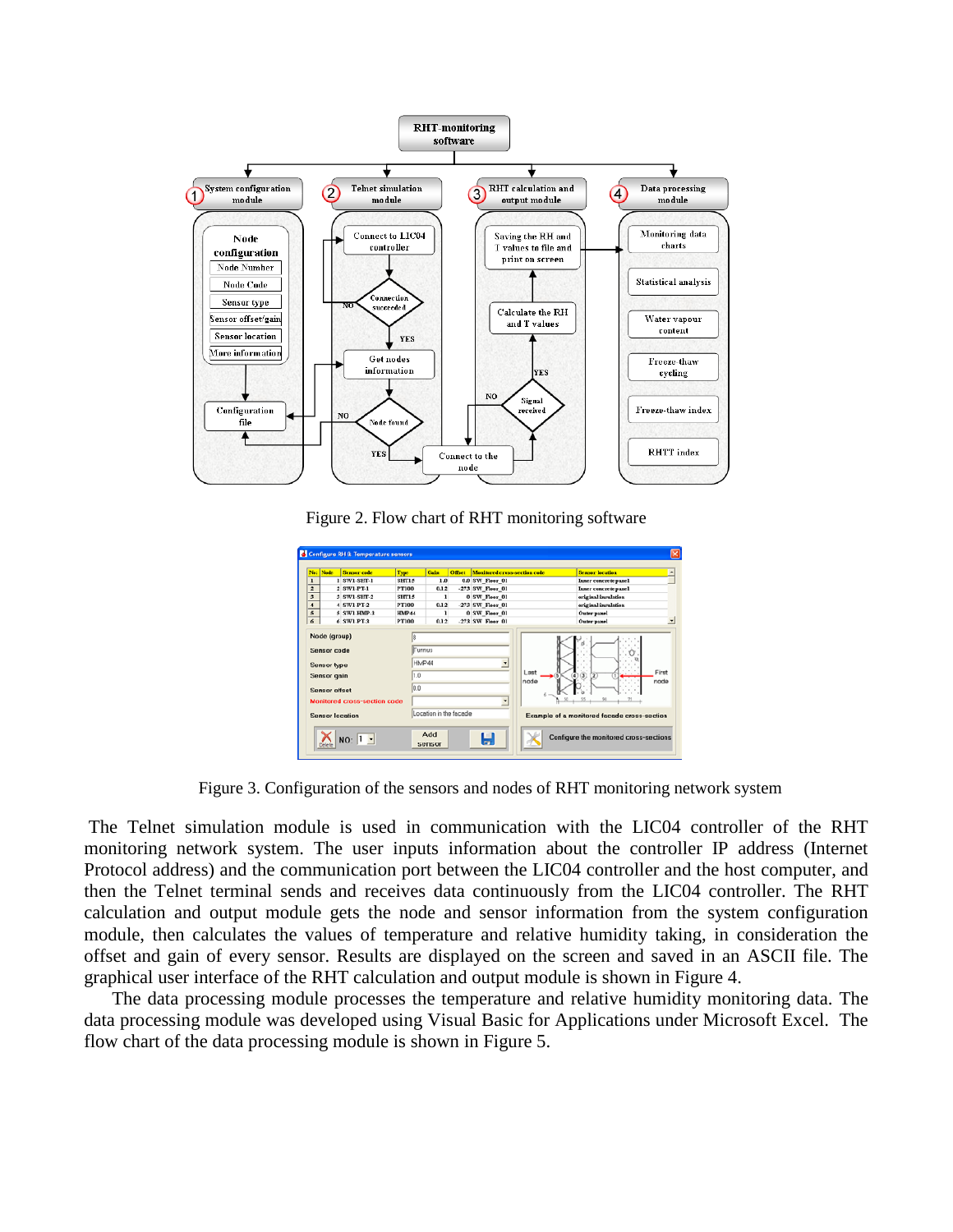

Figure 2. Flow chart of RHT monitoring software

| No:                     | Node                                                                     | <b>Sensor</b> code                  | Type         | Gain                                              | Office | Menitered cross-section code | <b>Sensor location</b>                                                                |
|-------------------------|--------------------------------------------------------------------------|-------------------------------------|--------------|---------------------------------------------------|--------|------------------------------|---------------------------------------------------------------------------------------|
| ı                       |                                                                          | 1 SWI-SHT-I                         | <b>SHT15</b> | 1.0                                               |        | 0.0 SW Fleer 01              | Inner concrete panel                                                                  |
| $\overline{2}$          |                                                                          | 2 SW1-PT-1                          | PT100        | 0.12                                              |        | -273 SW Floor 01             | Inner concrete panel                                                                  |
| $\overline{\mathbf{3}}$ |                                                                          | 3 SW1-SHT-2                         | SHT15        | 1                                                 |        | 0 SW_Floor_01                | original insulation                                                                   |
| $\overline{4}$          |                                                                          | 4 SW1-PT-2                          | PT100        | 0.12                                              |        | -273 SW Fleer 01             | original insulation                                                                   |
| $\overline{5}$          |                                                                          | 5 SWI-HMP-3                         | HMP44        | ı                                                 |        | 0 SW Fleer 01                | Outer panel                                                                           |
| 6                       |                                                                          | 6 SWLPT-3                           | <b>PT100</b> | 0.12                                              |        | .273 SW Fleer 01             | Outer panel                                                                           |
|                         | Sensor code<br><b>Sensor</b> type<br><b>Sensor</b> gain<br>Sensor offset | <b>Monitored cross-section code</b> | 1.0<br>0.0   | <b>ITunnus</b><br>HMP44<br>Location in the facade |        | ≛<br>$\ddot{\phantom{0}}$    | First<br>Last<br>$\circledast$<br>⋒<br>$\sqrt{2}$<br>node<br>node                     |
|                         |                                                                          | <b>Sensor location</b><br>$NO: 1 -$ |              | Add<br>sensor                                     |        | н                            | Example of a monitored facade cross-section<br>Configure the monitored cross-sections |

Figure 3. Configuration of the sensors and nodes of RHT monitoring network system

The Telnet simulation module is used in communication with the LIC04 controller of the RHT monitoring network system. The user inputs information about the controller IP address (Internet Protocol address) and the communication port between the LIC04 controller and the host computer, and then the Telnet terminal sends and receives data continuously from the LIC04 controller. The RHT calculation and output module gets the node and sensor information from the system configuration module, then calculates the values of temperature and relative humidity taking, in consideration the offset and gain of every sensor. Results are displayed on the screen and saved in an ASCII file. The graphical user interface of the RHT calculation and output module is shown in Figure 4.

The data processing module processes the temperature and relative humidity monitoring data. The data processing module was developed using Visual Basic for Applications under Microsoft Excel. The flow chart of the data processing module is shown in Figure 5.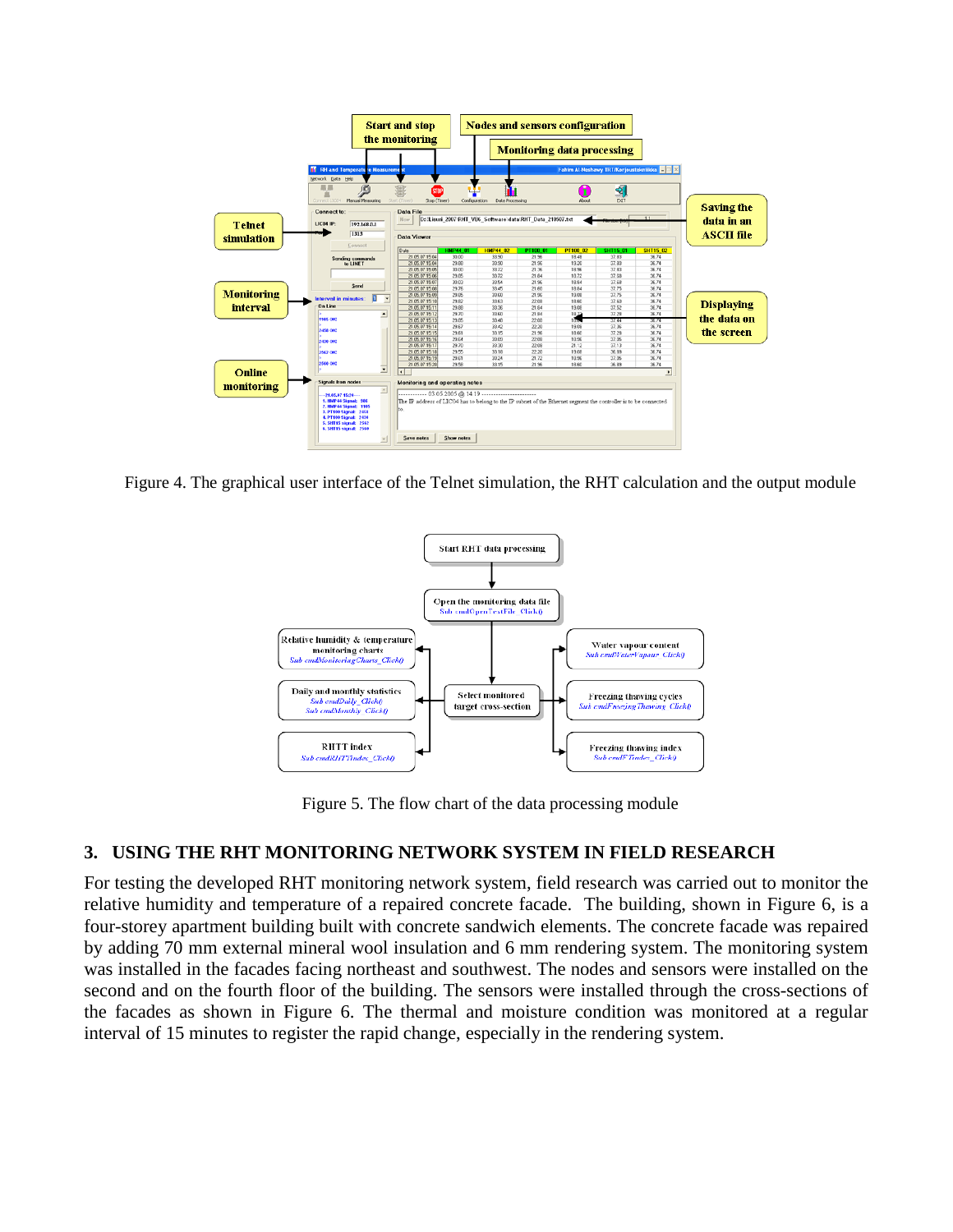

Figure 4. The graphical user interface of the Telnet simulation, the RHT calculation and the output module



Figure 5. The flow chart of the data processing module

# **3. USING THE RHT MONITORING NETWORK SYSTEM IN FIELD RESEARCH**

For testing the developed RHT monitoring network system, field research was carried out to monitor the relative humidity and temperature of a repaired concrete facade. The building, shown in Figure 6, is a four-storey apartment building built with concrete sandwich elements. The concrete facade was repaired by adding 70 mm external mineral wool insulation and 6 mm rendering system. The monitoring system was installed in the facades facing northeast and southwest. The nodes and sensors were installed on the second and on the fourth floor of the building. The sensors were installed through the cross-sections of the facades as shown in Figure 6. The thermal and moisture condition was monitored at a regular interval of 15 minutes to register the rapid change, especially in the rendering system.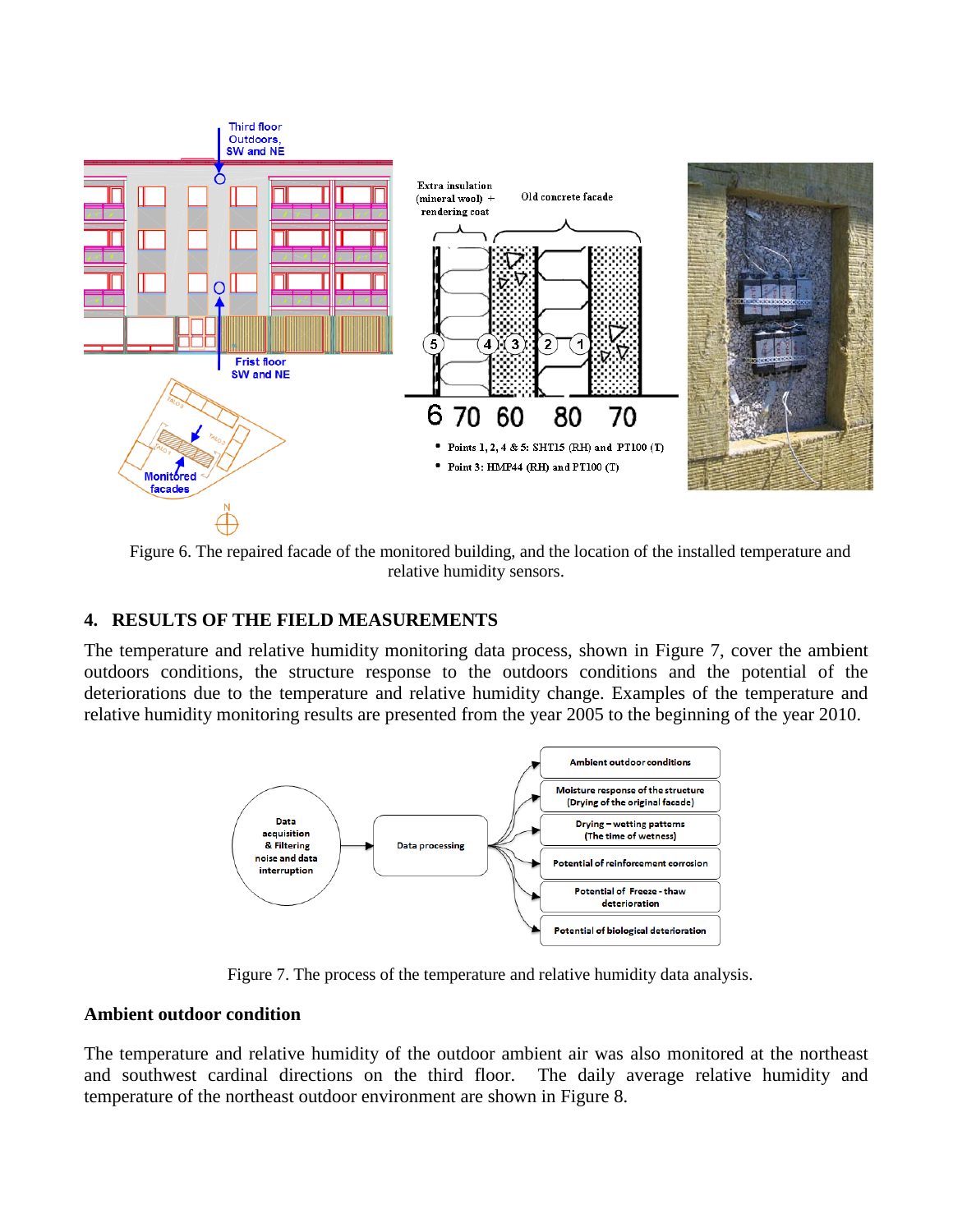

Figure 6. The repaired facade of the monitored building, and the location of the installed temperature and relative humidity sensors.

# **4. RESULTS OF THE FIELD MEASUREMENTS**

The temperature and relative humidity monitoring data process, shown in Figure 7, cover the ambient outdoors conditions, the structure response to the outdoors conditions and the potential of the deteriorations due to the temperature and relative humidity change. Examples of the temperature and relative humidity monitoring results are presented from the year 2005 to the beginning of the year 2010.



Figure 7. The process of the temperature and relative humidity data analysis.

## **Ambient outdoor condition**

The temperature and relative humidity of the outdoor ambient air was also monitored at the northeast and southwest cardinal directions on the third floor. The daily average relative humidity and temperature of the northeast outdoor environment are shown in Figure 8.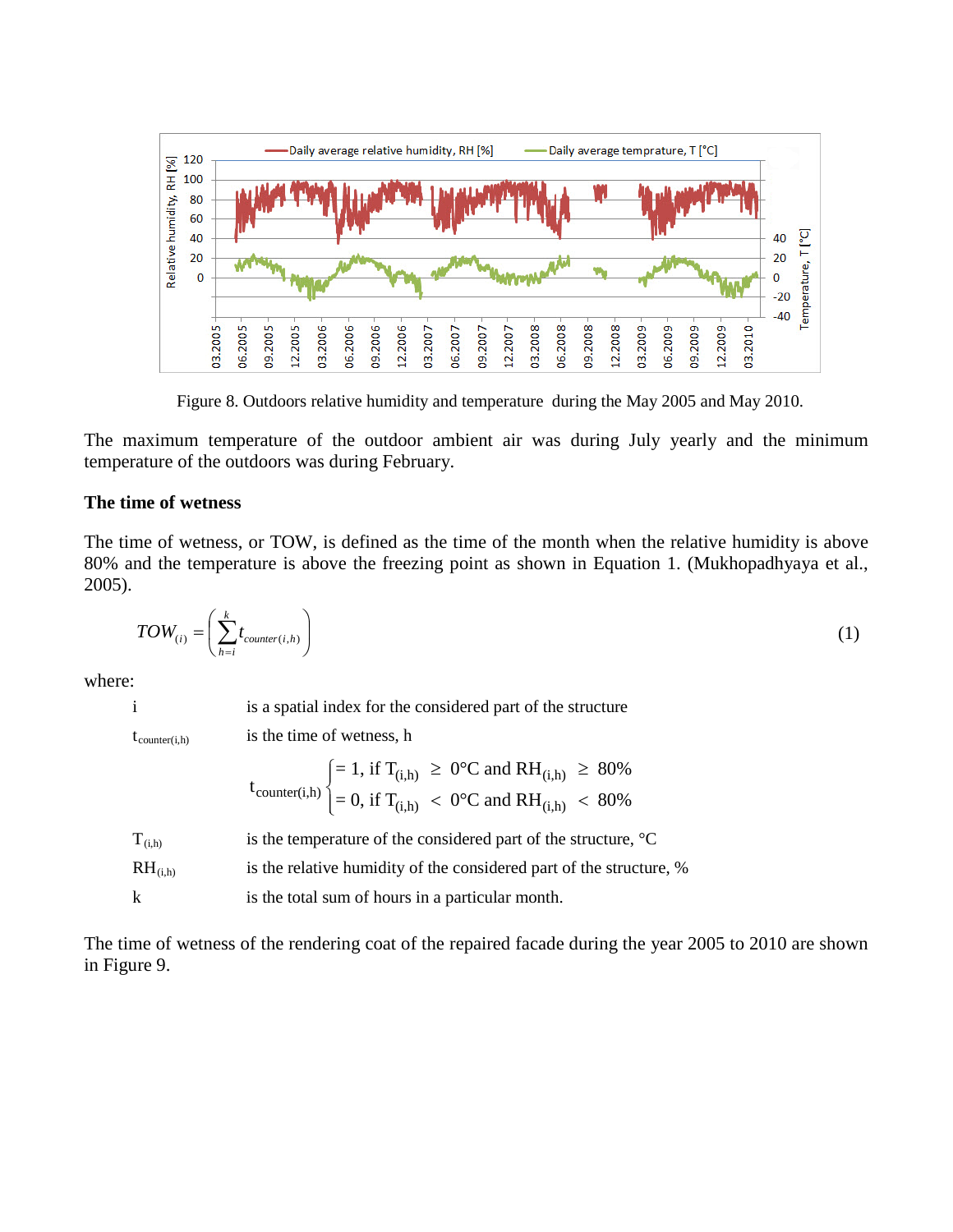

Figure 8. Outdoors relative humidity and temperature during the May 2005 and May 2010.

The maximum temperature of the outdoor ambient air was during July yearly and the minimum temperature of the outdoors was during February.

## **The time of wetness**

The time of wetness, or TOW, is defined as the time of the month when the relative humidity is above 80% and the temperature is above the freezing point as shown in Equation 1. (Mukhopadhyaya et al., 2005).

$$
TOW_{(i)} = \left(\sum_{h=i}^{k} t_{counter(i,h)}\right)
$$
 (1)

where:

i is a spatial index for the considered part of the structure

 $t_{counter(i,h)}$  is the time of wetness, h

$$
t_{counter(i,h)} \begin{cases} = 1, \text{ if } T_{(i,h)} \ge 0^{\circ}C \text{ and } RH_{(i,h)} \ge 80\% \\ = 0, \text{ if } T_{(i,h)} < 0^{\circ}C \text{ and }RH_{(i,h)} < 80\% \end{cases}
$$

| $T_{(i,h)}$           | is the temperature of the considered part of the structure, $^{\circ}C$ |
|-----------------------|-------------------------------------------------------------------------|
| $RH$ <sub>(i,h)</sub> | is the relative humidity of the considered part of the structure, %     |
| k                     | is the total sum of hours in a particular month.                        |

The time of wetness of the rendering coat of the repaired facade during the year 2005 to 2010 are shown in Figure 9.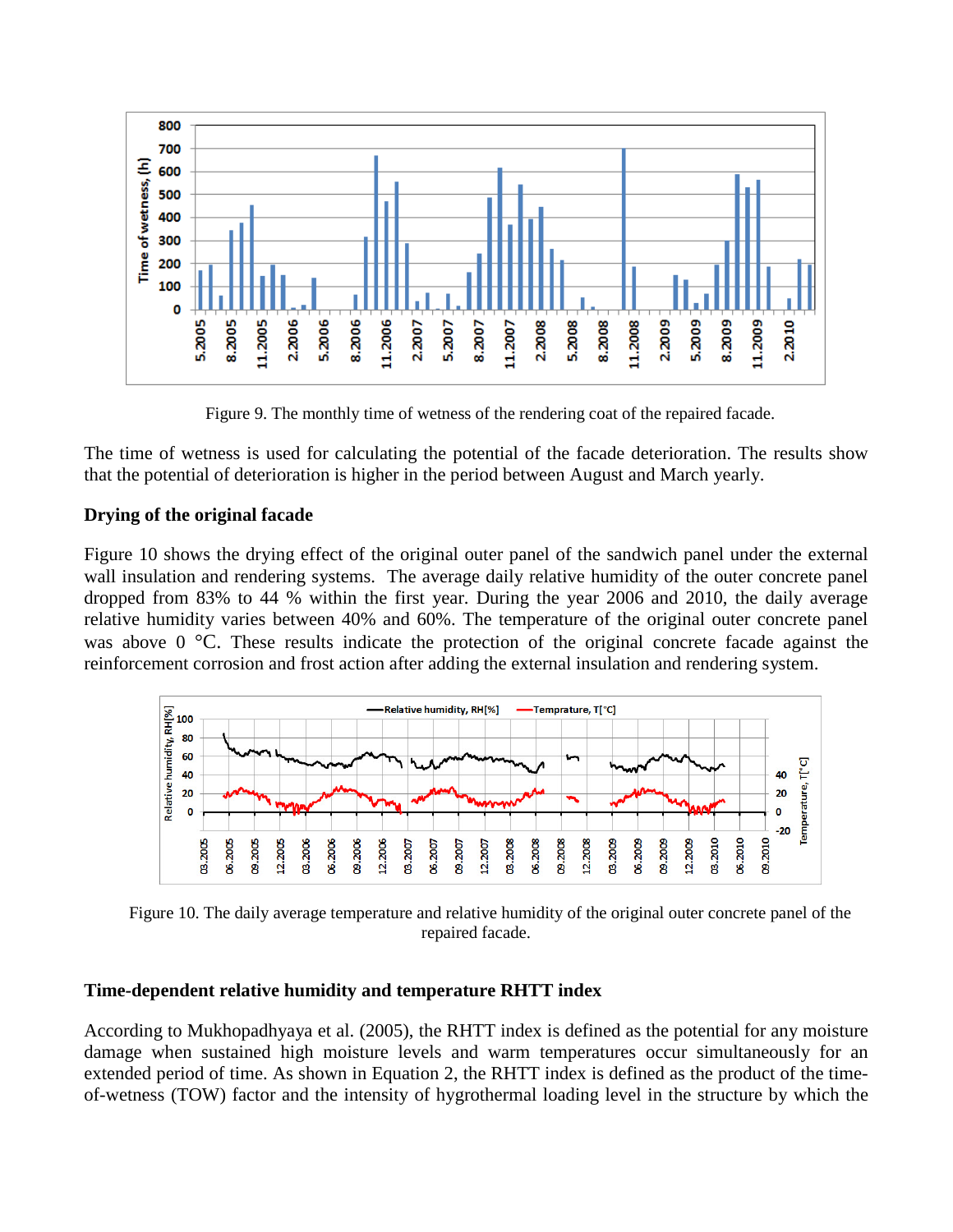

Figure 9. The monthly time of wetness of the rendering coat of the repaired facade.

The time of wetness is used for calculating the potential of the facade deterioration. The results show that the potential of deterioration is higher in the period between August and March yearly.

# **Drying of the original facade**

Figure 10 shows the drying effect of the original outer panel of the sandwich panel under the external wall insulation and rendering systems. The average daily relative humidity of the outer concrete panel dropped from 83% to 44 % within the first year. During the year 2006 and 2010, the daily average relative humidity varies between 40% and 60%. The temperature of the original outer concrete panel was above 0 °C. These results indicate the protection of the original concrete facade against the reinforcement corrosion and frost action after adding the external insulation and rendering system.



Figure 10. The daily average temperature and relative humidity of the original outer concrete panel of the repaired facade.

# **Time-dependent relative humidity and temperature RHTT index**

According to Mukhopadhyaya et al. (2005), the RHTT index is defined as the potential for any moisture damage when sustained high moisture levels and warm temperatures occur simultaneously for an extended period of time. As shown in Equation 2, the RHTT index is defined as the product of the timeof-wetness (TOW) factor and the intensity of hygrothermal loading level in the structure by which the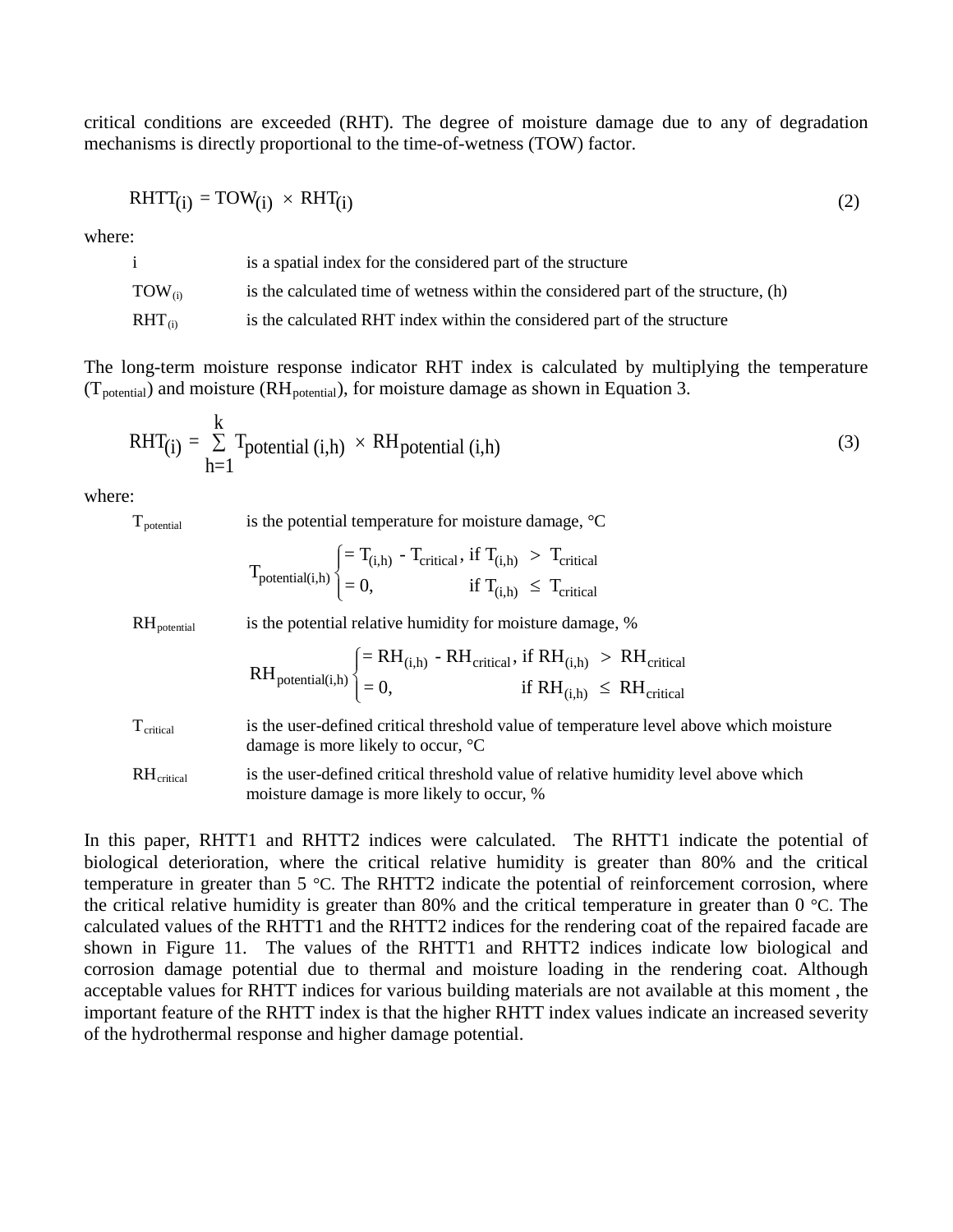critical conditions are exceeded (RHT). The degree of moisture damage due to any of degradation mechanisms is directly proportional to the time-of-wetness (TOW) factor.

$$
RHTT_{(i)} = TOW_{(i)} \times RHT_{(i)}
$$
 (2)

where:

| $\mathbf{1}$ | is a spatial index for the considered part of the structure                        |
|--------------|------------------------------------------------------------------------------------|
| $TOW_{(i)}$  | is the calculated time of wetness within the considered part of the structure, (h) |
| $RHT_{(i)}$  | is the calculated RHT index within the considered part of the structure            |

The long-term moisture response indicator RHT index is calculated by multiplying the temperature ( $T_{potential}$ ) and moisture ( $RH_{potential}$ ), for moisture damage as shown in Equation 3.

$$
RHT(i) = \sum_{h=1}^{k} T_{potential (i,h)} \times RH_{potential (i,h)}
$$
 (3)

where:

 $T_{\text{potential}}$  is the potential temperature for moisture damage,  $^{\circ}C$ 

$$
T_{\text{potential}(i,h)} \begin{cases} = T_{(i,h)} - T_{\text{critical}}, \text{ if } T_{(i,h)} > T_{\text{critical}} \\ = 0, \text{ if } T_{(i,h)} \leq T_{\text{critical}} \end{cases}
$$

 $RH_{\text{potential}}$  is the potential relative humidity for moisture damage, %

$$
RH_{potential(i,h)} \begin{cases} = RH_{(i,h)} - RH_{critical}, \, \text{if } RH_{(i,h)} \; > \; RH_{critical} \\ = 0, \qquad \qquad \text{if } RH_{(i,h)} \; \leq \; RH_{critical} \end{cases}
$$

is the user-defined critical threshold value of temperature level above which moisture damage is more likely to occur, °C  $T_{\text{critical}}$ 

is the user-defined critical threshold value of relative humidity level above which moisture damage is more likely to occur, %  $RH_{critical}$ 

In this paper, RHTT1 and RHTT2 indices were calculated. The RHTT1 indicate the potential of biological deterioration, where the critical relative humidity is greater than 80% and the critical temperature in greater than 5 °C. The RHTT2 indicate the potential of reinforcement corrosion, where the critical relative humidity is greater than 80% and the critical temperature in greater than 0 °C. The calculated values of the RHTT1 and the RHTT2 indices for the rendering coat of the repaired facade are shown in Figure 11. The values of the RHTT1 and RHTT2 indices indicate low biological and corrosion damage potential due to thermal and moisture loading in the rendering coat. Although acceptable values for RHTT indices for various building materials are not available at this moment , the important feature of the RHTT index is that the higher RHTT index values indicate an increased severity of the hydrothermal response and higher damage potential.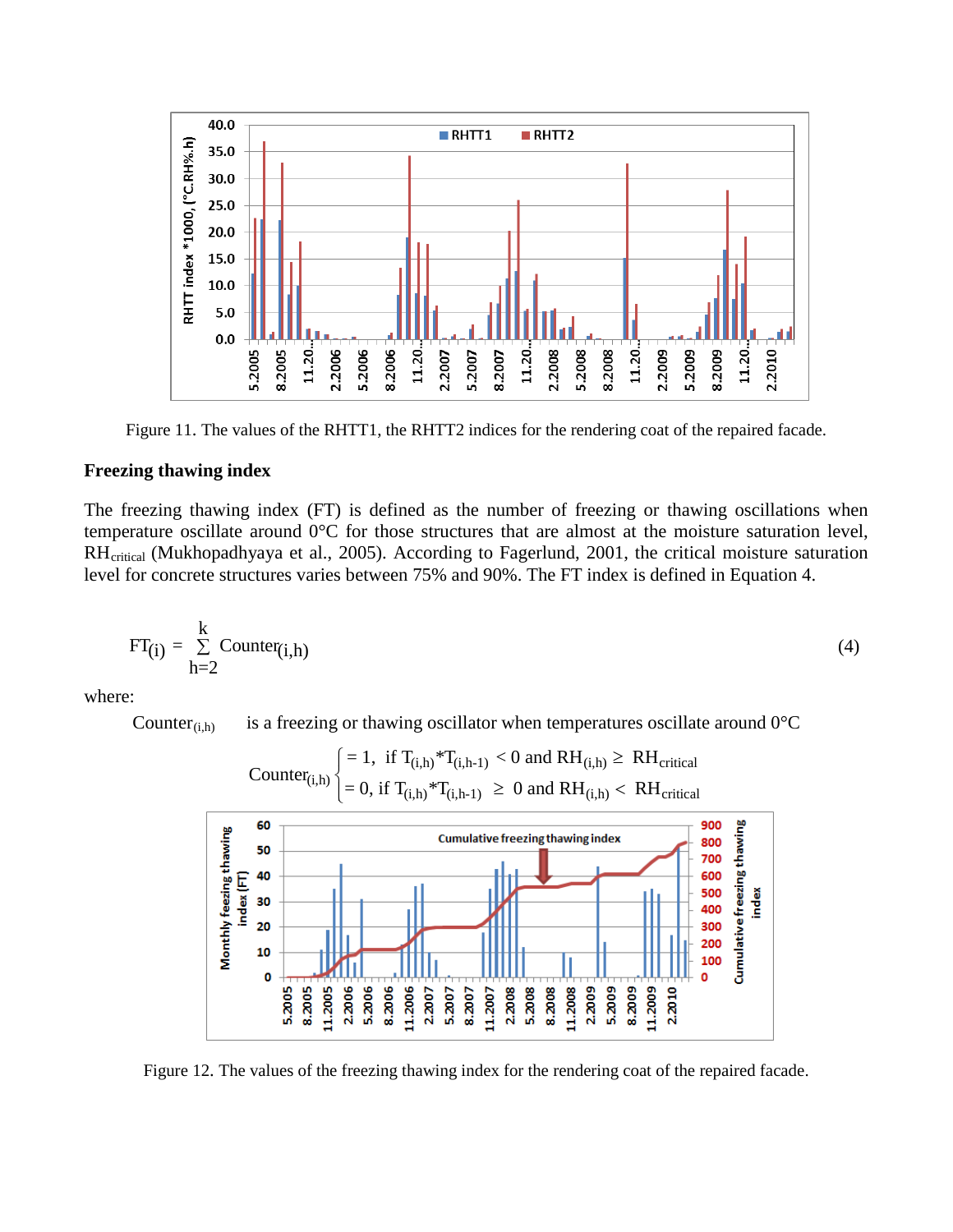

Figure 11. The values of the RHTT1, the RHTT2 indices for the rendering coat of the repaired facade.

## **Freezing thawing index**

The freezing thawing index (FT) is defined as the number of freezing or thawing oscillations when temperature oscillate around 0°C for those structures that are almost at the moisture saturation level, RH<sub>critical</sub> (Mukhopadhyaya et al., 2005). According to Fagerlund, 2001, the critical moisture saturation level for concrete structures varies between 75% and 90%. The FT index is defined in Equation 4.

$$
FT_{(i)} = \sum_{h=2}^{k} Counter_{(i,h)}
$$
 (4)

where:

Counter $(i,h)$  is a freezing or thawing oscillator when temperatures oscillate around  $0^{\circ}C$ 



Figure 12. The values of the freezing thawing index for the rendering coat of the repaired facade.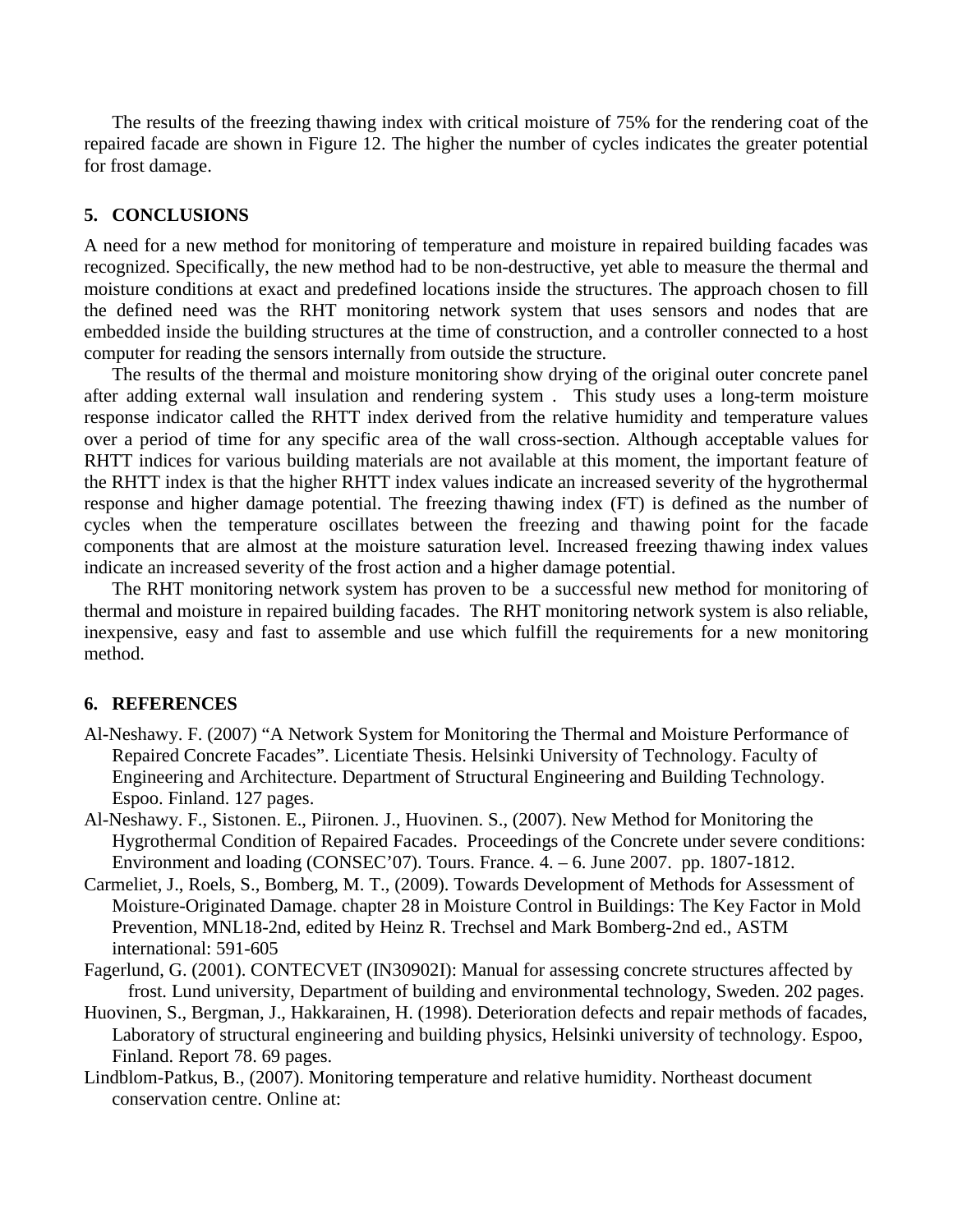The results of the freezing thawing index with critical moisture of 75% for the rendering coat of the repaired facade are shown in Figure 12. The higher the number of cycles indicates the greater potential for frost damage.

## **5. CONCLUSIONS**

A need for a new method for monitoring of temperature and moisture in repaired building facades was recognized. Specifically, the new method had to be non-destructive, yet able to measure the thermal and moisture conditions at exact and predefined locations inside the structures. The approach chosen to fill the defined need was the RHT monitoring network system that uses sensors and nodes that are embedded inside the building structures at the time of construction, and a controller connected to a host computer for reading the sensors internally from outside the structure.

The results of the thermal and moisture monitoring show drying of the original outer concrete panel after adding external wall insulation and rendering system . This study uses a long-term moisture response indicator called the RHTT index derived from the relative humidity and temperature values over a period of time for any specific area of the wall cross-section. Although acceptable values for RHTT indices for various building materials are not available at this moment, the important feature of the RHTT index is that the higher RHTT index values indicate an increased severity of the hygrothermal response and higher damage potential. The freezing thawing index (FT) is defined as the number of cycles when the temperature oscillates between the freezing and thawing point for the facade components that are almost at the moisture saturation level. Increased freezing thawing index values indicate an increased severity of the frost action and a higher damage potential.

The RHT monitoring network system has proven to be a successful new method for monitoring of thermal and moisture in repaired building facades. The RHT monitoring network system is also reliable, inexpensive, easy and fast to assemble and use which fulfill the requirements for a new monitoring method.

## **6. REFERENCES**

- Al-Neshawy. F. (2007) "A Network System for Monitoring the Thermal and Moisture Performance of Repaired Concrete Facades". Licentiate Thesis. Helsinki University of Technology. Faculty of Engineering and Architecture. Department of Structural Engineering and Building Technology. Espoo. Finland. 127 pages.
- Al-Neshawy. F., Sistonen. E., Piironen. J., Huovinen. S., (2007). New Method for Monitoring the Hygrothermal Condition of Repaired Facades. Proceedings of the Concrete under severe conditions: Environment and loading (CONSEC'07). Tours. France. 4. – 6. June 2007. pp. 1807-1812.
- Carmeliet, J., Roels, S., Bomberg, M. T., (2009). Towards Development of Methods for Assessment of Moisture-Originated Damage. chapter 28 in Moisture Control in Buildings: The Key Factor in Mold Prevention, MNL18-2nd, edited by Heinz R. Trechsel and Mark Bomberg-2nd ed., ASTM international: 591-605
- Fagerlund, G. (2001). CONTECVET (IN30902I): Manual for assessing concrete structures affected by frost. Lund university, Department of building and environmental technology, Sweden. 202 pages.
- Huovinen, S., Bergman, J., Hakkarainen, H. (1998). Deterioration defects and repair methods of facades, Laboratory of structural engineering and building physics, Helsinki university of technology. Espoo, Finland. Report 78. 69 pages.
- Lindblom-Patkus, B., (2007). Monitoring temperature and relative humidity. Northeast document conservation centre. Online at: